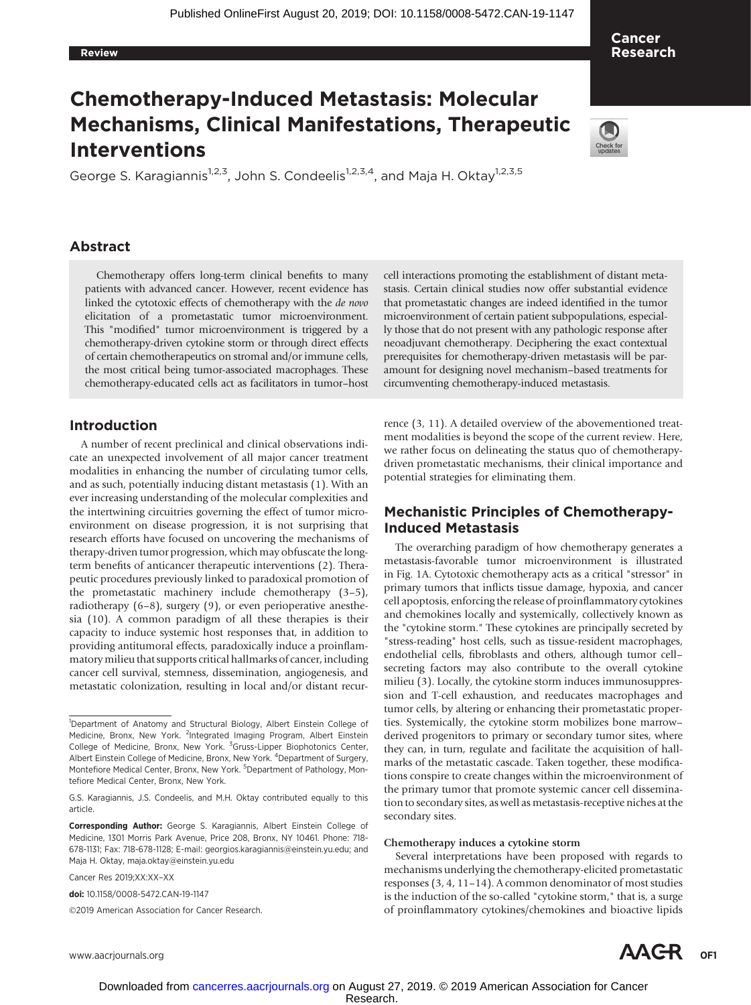#### Review

Cancer Research

# Chemotherapy-Induced Metastasis: Molecular Mechanisms, Clinical Manifestations, Therapeutic Interventions

George S. Karagiannis<sup>1,2,3</sup>, John S. Condeelis<sup>1,2,3,4</sup>, and Maja H. Oktay<sup>1,2,3,5</sup>

# Abstract

Chemotherapy offers long-term clinical benefits to many patients with advanced cancer. However, recent evidence has linked the cytotoxic effects of chemotherapy with the de novo elicitation of a prometastatic tumor microenvironment. This "modified" tumor microenvironment is triggered by a chemotherapy-driven cytokine storm or through direct effects of certain chemotherapeutics on stromal and/or immune cells, the most critical being tumor-associated macrophages. These chemotherapy-educated cells act as facilitators in tumor–host

## Introduction

A number of recent preclinical and clinical observations indicate an unexpected involvement of all major cancer treatment modalities in enhancing the number of circulating tumor cells, and as such, potentially inducing distant metastasis (1). With an ever increasing understanding of the molecular complexities and the intertwining circuitries governing the effect of tumor microenvironment on disease progression, it is not surprising that research efforts have focused on uncovering the mechanisms of therapy-driven tumor progression, which may obfuscate the longterm benefits of anticancer therapeutic interventions (2). Therapeutic procedures previously linked to paradoxical promotion of the prometastatic machinery include chemotherapy (3–5), radiotherapy (6–8), surgery (9), or even perioperative anesthesia (10). A common paradigm of all these therapies is their capacity to induce systemic host responses that, in addition to providing antitumoral effects, paradoxically induce a proinflammatory milieu that supports critical hallmarks of cancer, including cancer cell survival, stemness, dissemination, angiogenesis, and metastatic colonization, resulting in local and/or distant recur-

Cancer Res 2019;XX:XX–XX

doi: 10.1158/0008-5472.CAN-19-1147

2019 American Association for Cancer Research.

cell interactions promoting the establishment of distant metastasis. Certain clinical studies now offer substantial evidence that prometastatic changes are indeed identified in the tumor microenvironment of certain patient subpopulations, especially those that do not present with any pathologic response after neoadjuvant chemotherapy. Deciphering the exact contextual prerequisites for chemotherapy-driven metastasis will be paramount for designing novel mechanism–based treatments for circumventing chemotherapy-induced metastasis.

rence (3, 11). A detailed overview of the abovementioned treatment modalities is beyond the scope of the current review. Here, we rather focus on delineating the status quo of chemotherapydriven prometastatic mechanisms, their clinical importance and potential strategies for eliminating them.

# Mechanistic Principles of Chemotherapy-Induced Metastasis

The overarching paradigm of how chemotherapy generates a metastasis-favorable tumor microenvironment is illustrated in Fig. 1A. Cytotoxic chemotherapy acts as a critical "stressor" in primary tumors that inflicts tissue damage, hypoxia, and cancer cell apoptosis, enforcing the release of proinflammatory cytokines and chemokines locally and systemically, collectively known as the "cytokine storm." These cytokines are principally secreted by "stress-reading" host cells, such as tissue-resident macrophages, endothelial cells, fibroblasts and others, although tumor cell– secreting factors may also contribute to the overall cytokine milieu (3). Locally, the cytokine storm induces immunosuppression and T-cell exhaustion, and reeducates macrophages and tumor cells, by altering or enhancing their prometastatic properties. Systemically, the cytokine storm mobilizes bone marrow– derived progenitors to primary or secondary tumor sites, where they can, in turn, regulate and facilitate the acquisition of hallmarks of the metastatic cascade. Taken together, these modifications conspire to create changes within the microenvironment of the primary tumor that promote systemic cancer cell dissemination to secondary sites, as well as metastasis-receptive niches at the secondary sites.

#### Chemotherapy induces a cytokine storm

Several interpretations have been proposed with regards to mechanisms underlying the chemotherapy-elicited prometastatic responses (3, 4, 11–14). A common denominator of most studies is the induction of the so-called "cytokine storm," that is, a surge of proinflammatory cytokines/chemokines and bioactive lipids



<sup>&</sup>lt;sup>1</sup>Department of Anatomy and Structural Biology, Albert Einstein College of Medicine, Bronx, New York. <sup>2</sup>Integrated Imaging Program, Albert Einstein College of Medicine, Bronx, New York. <sup>3</sup>Gruss-Lipper Biophotonics Center, Albert Einstein College of Medicine, Bronx, New York. <sup>4</sup>Department of Surgery, Montefiore Medical Center, Bronx, New York. <sup>5</sup>Department of Pathology, Montefiore Medical Center, Bronx, New York.

G.S. Karagiannis, J.S. Condeelis, and M.H. Oktay contributed equally to this article.

Corresponding Author: George S. Karagiannis, Albert Einstein College of Medicine, 1301 Morris Park Avenue, Price 208, Bronx, NY 10461. Phone: 718- 678-1131; Fax: 718-678-1128; E-mail: georgios.karagiannis@einstein.yu.edu; and Maja H. Oktay, maja.oktay@einstein.yu.edu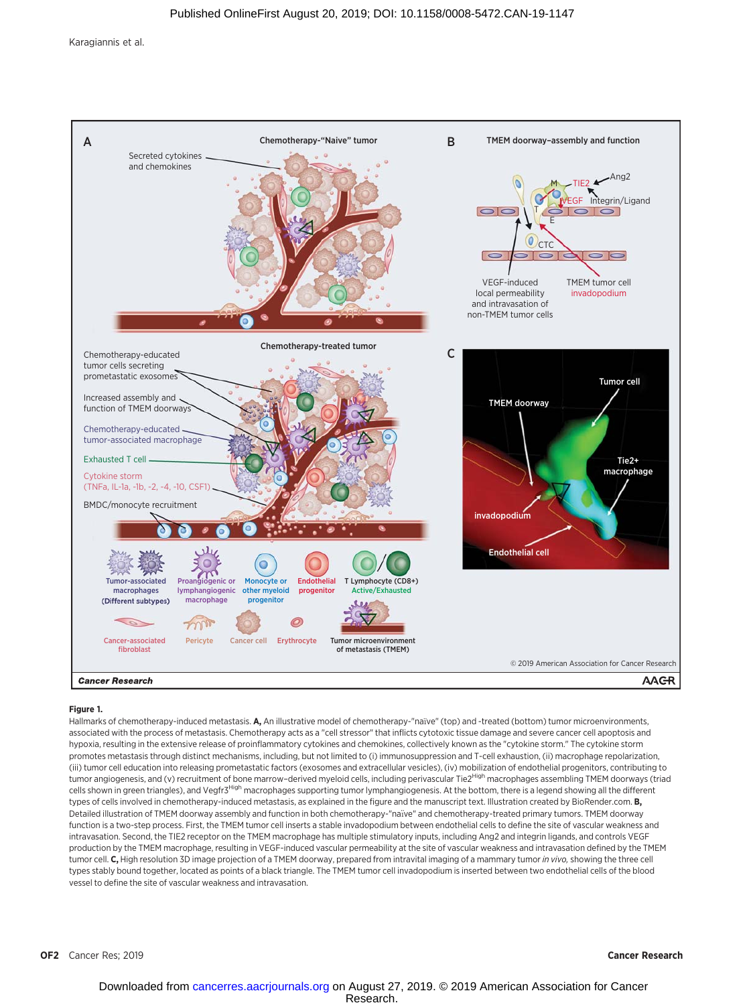

#### Figure 1.

Hallmarks of chemotherapy-induced metastasis. A, An illustrative model of chemotherapy-"naïve" (top) and -treated (bottom) tumor microenvironments, associated with the process of metastasis. Chemotherapy acts as a "cell stressor" that inflicts cytotoxic tissue damage and severe cancer cell apoptosis and hypoxia, resulting in the extensive release of proinflammatory cytokines and chemokines, collectively known as the "cytokine storm." The cytokine storm promotes metastasis through distinct mechanisms, including, but not limited to (i) immunosuppression and T-cell exhaustion, (ii) macrophage repolarization, (iii) tumor cell education into releasing prometastatic factors (exosomes and extracellular vesicles), (iv) mobilization of endothelial progenitors, contributing to tumor angiogenesis, and (v) recruitment of bone marrow-derived myeloid cells, including perivascular Tie2High macrophages assembling TMEM doorways (triad cells shown in green triangles), and Vegfr<sup>3High</sup> macrophages supporting tumor lymphangiogenesis. At the bottom, there is a legend showing all the different types of cells involved in chemotherapy-induced metastasis, as explained in the figure and the manuscript text. Illustration created by BioRender.com. B, Detailed illustration of TMEM doorway assembly and function in both chemotherapy-"naïve" and chemotherapy-treated primary tumors. TMEM doorway function is a two-step process. First, the TMEM tumor cell inserts a stable invadopodium between endothelial cells to define the site of vascular weakness and intravasation. Second, the TIE2 receptor on the TMEM macrophage has multiple stimulatory inputs, including Ang2 and integrin ligands, and controls VEGF production by the TMEM macrophage, resulting in VEGF-induced vascular permeability at the site of vascular weakness and intravasation defined by the TMEM tumor cell. C, High resolution 3D image projection of a TMEM doorway, prepared from intravital imaging of a mammary tumor in vivo, showing the three cell types stably bound together, located as points of a black triangle. The TMEM tumor cell invadopodium is inserted between two endothelial cells of the blood vessel to define the site of vascular weakness and intravasation.

OF2 Cancer Res; 2019 **Cancer Research** 2009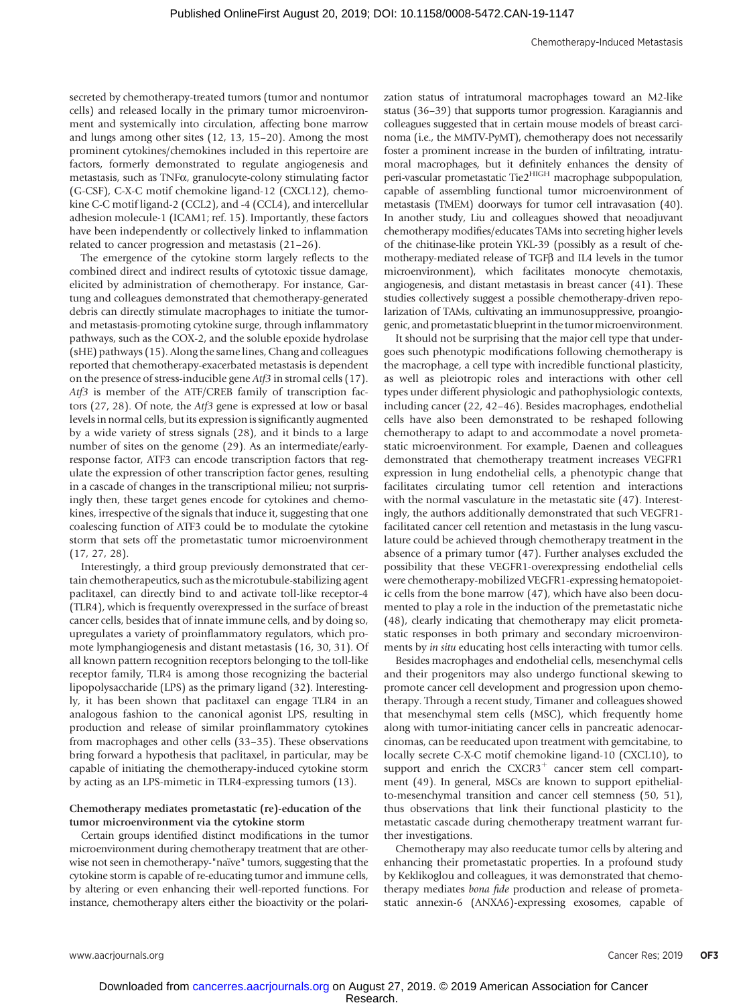secreted by chemotherapy-treated tumors (tumor and nontumor cells) and released locally in the primary tumor microenvironment and systemically into circulation, affecting bone marrow and lungs among other sites (12, 13, 15–20). Among the most prominent cytokines/chemokines included in this repertoire are factors, formerly demonstrated to regulate angiogenesis and metastasis, such as TNFa, granulocyte-colony stimulating factor (G-CSF), C-X-C motif chemokine ligand-12 (CXCL12), chemokine C-C motif ligand-2 (CCL2), and -4 (CCL4), and intercellular adhesion molecule-1 (ICAM1; ref. 15). Importantly, these factors have been independently or collectively linked to inflammation related to cancer progression and metastasis (21–26).

The emergence of the cytokine storm largely reflects to the combined direct and indirect results of cytotoxic tissue damage, elicited by administration of chemotherapy. For instance, Gartung and colleagues demonstrated that chemotherapy-generated debris can directly stimulate macrophages to initiate the tumorand metastasis-promoting cytokine surge, through inflammatory pathways, such as the COX-2, and the soluble epoxide hydrolase (sHE) pathways (15). Along the same lines, Chang and colleagues reported that chemotherapy-exacerbated metastasis is dependent on the presence of stress-inducible gene Atf3 in stromal cells (17). Atf3 is member of the ATF/CREB family of transcription factors (27, 28). Of note, the Atf3 gene is expressed at low or basal levels in normal cells, but its expression is significantly augmented by a wide variety of stress signals (28), and it binds to a large number of sites on the genome (29). As an intermediate/earlyresponse factor, ATF3 can encode transcription factors that regulate the expression of other transcription factor genes, resulting in a cascade of changes in the transcriptional milieu; not surprisingly then, these target genes encode for cytokines and chemokines, irrespective of the signals that induce it, suggesting that one coalescing function of ATF3 could be to modulate the cytokine storm that sets off the prometastatic tumor microenvironment (17, 27, 28).

Interestingly, a third group previously demonstrated that certain chemotherapeutics, such as the microtubule-stabilizing agent paclitaxel, can directly bind to and activate toll-like receptor-4 (TLR4), which is frequently overexpressed in the surface of breast cancer cells, besides that of innate immune cells, and by doing so, upregulates a variety of proinflammatory regulators, which promote lymphangiogenesis and distant metastasis (16, 30, 31). Of all known pattern recognition receptors belonging to the toll-like receptor family, TLR4 is among those recognizing the bacterial lipopolysaccharide (LPS) as the primary ligand (32). Interestingly, it has been shown that paclitaxel can engage TLR4 in an analogous fashion to the canonical agonist LPS, resulting in production and release of similar proinflammatory cytokines from macrophages and other cells (33–35). These observations bring forward a hypothesis that paclitaxel, in particular, may be capable of initiating the chemotherapy-induced cytokine storm by acting as an LPS-mimetic in TLR4-expressing tumors (13).

#### Chemotherapy mediates prometastatic (re)-education of the tumor microenvironment via the cytokine storm

Certain groups identified distinct modifications in the tumor microenvironment during chemotherapy treatment that are otherwise not seen in chemotherapy-"naïve" tumors, suggesting that the cytokine storm is capable of re-educating tumor and immune cells, by altering or even enhancing their well-reported functions. For instance, chemotherapy alters either the bioactivity or the polarization status of intratumoral macrophages toward an M2-like status (36–39) that supports tumor progression. Karagiannis and colleagues suggested that in certain mouse models of breast carcinoma (i.e., the MMTV-PyMT), chemotherapy does not necessarily foster a prominent increase in the burden of infiltrating, intratumoral macrophages, but it definitely enhances the density of peri-vascular prometastatic Tie2<sup>HIGH</sup> macrophage subpopulation, capable of assembling functional tumor microenvironment of metastasis (TMEM) doorways for tumor cell intravasation (40). In another study, Liu and colleagues showed that neoadjuvant chemotherapy modifies/educates TAMs into secreting higher levels of the chitinase-like protein YKL-39 (possibly as a result of chemotherapy-mediated release of TGFB and IL4 levels in the tumor microenvironment), which facilitates monocyte chemotaxis, angiogenesis, and distant metastasis in breast cancer (41). These studies collectively suggest a possible chemotherapy-driven repolarization of TAMs, cultivating an immunosuppressive, proangiogenic, and prometastatic blueprint in the tumor microenvironment.

It should not be surprising that the major cell type that undergoes such phenotypic modifications following chemotherapy is the macrophage, a cell type with incredible functional plasticity, as well as pleiotropic roles and interactions with other cell types under different physiologic and pathophysiologic contexts, including cancer (22, 42–46). Besides macrophages, endothelial cells have also been demonstrated to be reshaped following chemotherapy to adapt to and accommodate a novel prometastatic microenvironment. For example, Daenen and colleagues demonstrated that chemotherapy treatment increases VEGFR1 expression in lung endothelial cells, a phenotypic change that facilitates circulating tumor cell retention and interactions with the normal vasculature in the metastatic site (47). Interestingly, the authors additionally demonstrated that such VEGFR1 facilitated cancer cell retention and metastasis in the lung vasculature could be achieved through chemotherapy treatment in the absence of a primary tumor (47). Further analyses excluded the possibility that these VEGFR1-overexpressing endothelial cells were chemotherapy-mobilized VEGFR1-expressing hematopoietic cells from the bone marrow (47), which have also been documented to play a role in the induction of the premetastatic niche (48), clearly indicating that chemotherapy may elicit prometastatic responses in both primary and secondary microenvironments by in situ educating host cells interacting with tumor cells.

Besides macrophages and endothelial cells, mesenchymal cells and their progenitors may also undergo functional skewing to promote cancer cell development and progression upon chemotherapy. Through a recent study, Timaner and colleagues showed that mesenchymal stem cells (MSC), which frequently home along with tumor-initiating cancer cells in pancreatic adenocarcinomas, can be reeducated upon treatment with gemcitabine, to locally secrete C-X-C motif chemokine ligand-10 (CXCL10), to support and enrich the  $CXCR3$ <sup>+</sup> cancer stem cell compartment (49). In general, MSCs are known to support epithelialto-mesenchymal transition and cancer cell stemness (50, 51), thus observations that link their functional plasticity to the metastatic cascade during chemotherapy treatment warrant further investigations.

Chemotherapy may also reeducate tumor cells by altering and enhancing their prometastatic properties. In a profound study by Keklikoglou and colleagues, it was demonstrated that chemotherapy mediates bona fide production and release of prometastatic annexin-6 (ANXA6)-expressing exosomes, capable of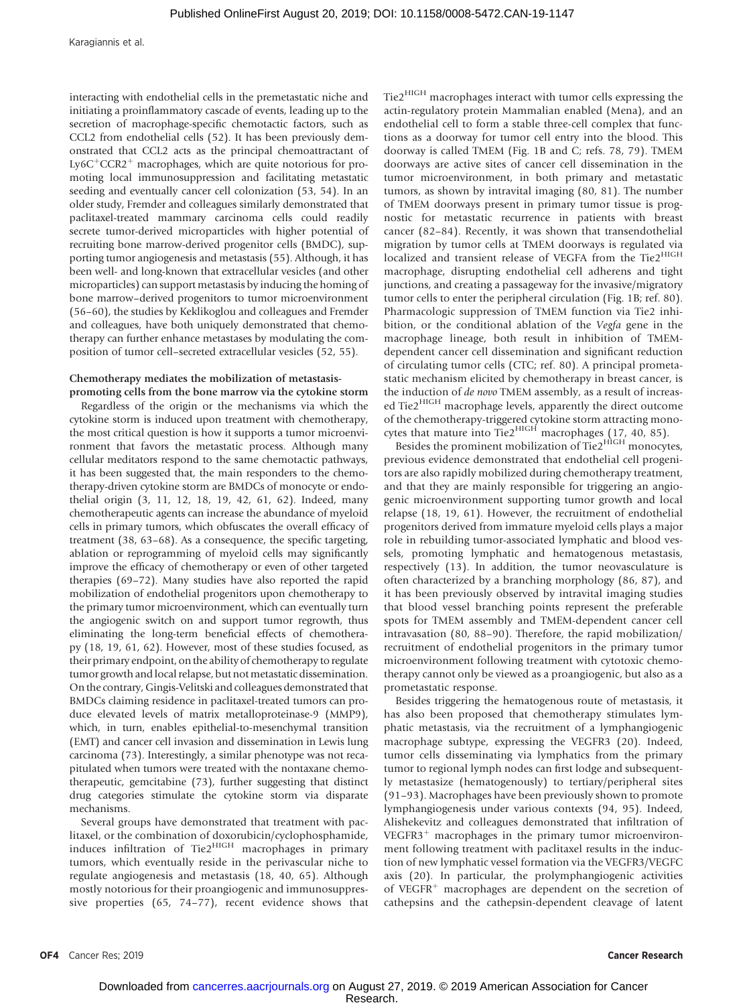Karagiannis et al.

interacting with endothelial cells in the premetastatic niche and initiating a proinflammatory cascade of events, leading up to the secretion of macrophage-specific chemotactic factors, such as CCL2 from endothelial cells (52). It has been previously demonstrated that CCL2 acts as the principal chemoattractant of Ly6C<sup>+</sup>CCR2<sup>+</sup> macrophages, which are quite notorious for promoting local immunosuppression and facilitating metastatic seeding and eventually cancer cell colonization (53, 54). In an older study, Fremder and colleagues similarly demonstrated that paclitaxel-treated mammary carcinoma cells could readily secrete tumor-derived microparticles with higher potential of recruiting bone marrow-derived progenitor cells (BMDC), supporting tumor angiogenesis and metastasis (55). Although, it has been well- and long-known that extracellular vesicles (and other microparticles) can support metastasis by inducing the homing of bone marrow–derived progenitors to tumor microenvironment (56–60), the studies by Keklikoglou and colleagues and Fremder and colleagues, have both uniquely demonstrated that chemotherapy can further enhance metastases by modulating the composition of tumor cell–secreted extracellular vesicles (52, 55).

#### Chemotherapy mediates the mobilization of metastasispromoting cells from the bone marrow via the cytokine storm

Regardless of the origin or the mechanisms via which the cytokine storm is induced upon treatment with chemotherapy, the most critical question is how it supports a tumor microenvironment that favors the metastatic process. Although many cellular meditators respond to the same chemotactic pathways, it has been suggested that, the main responders to the chemotherapy-driven cytokine storm are BMDCs of monocyte or endothelial origin (3, 11, 12, 18, 19, 42, 61, 62). Indeed, many chemotherapeutic agents can increase the abundance of myeloid cells in primary tumors, which obfuscates the overall efficacy of treatment (38, 63–68). As a consequence, the specific targeting, ablation or reprogramming of myeloid cells may significantly improve the efficacy of chemotherapy or even of other targeted therapies (69–72). Many studies have also reported the rapid mobilization of endothelial progenitors upon chemotherapy to the primary tumor microenvironment, which can eventually turn the angiogenic switch on and support tumor regrowth, thus eliminating the long-term beneficial effects of chemotherapy (18, 19, 61, 62). However, most of these studies focused, as their primary endpoint, on the ability of chemotherapy to regulate tumor growth and local relapse, but not metastatic dissemination. On the contrary, Gingis-Velitski and colleagues demonstrated that BMDCs claiming residence in paclitaxel-treated tumors can produce elevated levels of matrix metalloproteinase-9 (MMP9), which, in turn, enables epithelial-to-mesenchymal transition (EMT) and cancer cell invasion and dissemination in Lewis lung carcinoma (73). Interestingly, a similar phenotype was not recapitulated when tumors were treated with the nontaxane chemotherapeutic, gemcitabine (73), further suggesting that distinct drug categories stimulate the cytokine storm via disparate mechanisms.

Several groups have demonstrated that treatment with paclitaxel, or the combination of doxorubicin/cyclophosphamide, induces infiltration of Tie2<sup>HIGH</sup> macrophages in primary tumors, which eventually reside in the perivascular niche to regulate angiogenesis and metastasis (18, 40, 65). Although mostly notorious for their proangiogenic and immunosuppressive properties (65, 74–77), recent evidence shows that Tie2HIGH macrophages interact with tumor cells expressing the actin-regulatory protein Mammalian enabled (Mena), and an endothelial cell to form a stable three-cell complex that functions as a doorway for tumor cell entry into the blood. This doorway is called TMEM (Fig. 1B and C; refs. 78, 79). TMEM doorways are active sites of cancer cell dissemination in the tumor microenvironment, in both primary and metastatic tumors, as shown by intravital imaging (80, 81). The number of TMEM doorways present in primary tumor tissue is prognostic for metastatic recurrence in patients with breast cancer (82–84). Recently, it was shown that transendothelial migration by tumor cells at TMEM doorways is regulated via localized and transient release of VEGFA from the Tie2<sup>HIGH</sup> macrophage, disrupting endothelial cell adherens and tight junctions, and creating a passageway for the invasive/migratory tumor cells to enter the peripheral circulation (Fig. 1B; ref. 80). Pharmacologic suppression of TMEM function via Tie2 inhibition, or the conditional ablation of the Vegfa gene in the macrophage lineage, both result in inhibition of TMEMdependent cancer cell dissemination and significant reduction of circulating tumor cells (CTC; ref. 80). A principal prometastatic mechanism elicited by chemotherapy in breast cancer, is the induction of de novo TMEM assembly, as a result of increased Tie2<sup>HIGH</sup> macrophage levels, apparently the direct outcome of the chemotherapy-triggered cytokine storm attracting monocytes that mature into Tie $2^{HIGH}$  macrophages (17, 40, 85).

Besides the prominent mobilization of Tie2<sup>HIGH</sup> monocytes, previous evidence demonstrated that endothelial cell progenitors are also rapidly mobilized during chemotherapy treatment, and that they are mainly responsible for triggering an angiogenic microenvironment supporting tumor growth and local relapse (18, 19, 61). However, the recruitment of endothelial progenitors derived from immature myeloid cells plays a major role in rebuilding tumor-associated lymphatic and blood vessels, promoting lymphatic and hematogenous metastasis, respectively (13). In addition, the tumor neovasculature is often characterized by a branching morphology (86, 87), and it has been previously observed by intravital imaging studies that blood vessel branching points represent the preferable spots for TMEM assembly and TMEM-dependent cancer cell intravasation (80, 88–90). Therefore, the rapid mobilization/ recruitment of endothelial progenitors in the primary tumor microenvironment following treatment with cytotoxic chemotherapy cannot only be viewed as a proangiogenic, but also as a prometastatic response.

Besides triggering the hematogenous route of metastasis, it has also been proposed that chemotherapy stimulates lymphatic metastasis, via the recruitment of a lymphangiogenic macrophage subtype, expressing the VEGFR3 (20). Indeed, tumor cells disseminating via lymphatics from the primary tumor to regional lymph nodes can first lodge and subsequently metastasize (hematogenously) to tertiary/peripheral sites (91–93). Macrophages have been previously shown to promote lymphangiogenesis under various contexts (94, 95). Indeed, Alishekevitz and colleagues demonstrated that infiltration of  $VEGFR3<sup>+</sup>$  macrophages in the primary tumor microenvironment following treatment with paclitaxel results in the induction of new lymphatic vessel formation via the VEGFR3/VEGFC axis (20). In particular, the prolymphangiogenic activities of VEGFR $^+$  macrophages are dependent on the secretion of cathepsins and the cathepsin-dependent cleavage of latent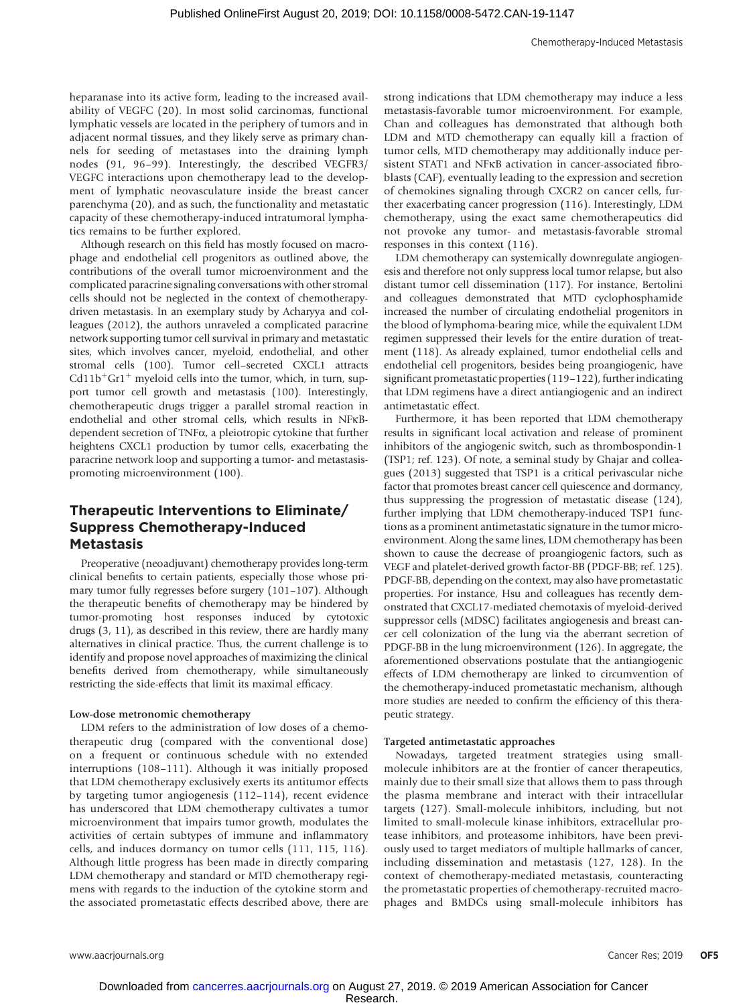heparanase into its active form, leading to the increased availability of VEGFC (20). In most solid carcinomas, functional lymphatic vessels are located in the periphery of tumors and in adjacent normal tissues, and they likely serve as primary channels for seeding of metastases into the draining lymph nodes (91, 96–99). Interestingly, the described VEGFR3/ VEGFC interactions upon chemotherapy lead to the development of lymphatic neovasculature inside the breast cancer parenchyma (20), and as such, the functionality and metastatic capacity of these chemotherapy-induced intratumoral lymphatics remains to be further explored.

Although research on this field has mostly focused on macrophage and endothelial cell progenitors as outlined above, the contributions of the overall tumor microenvironment and the complicated paracrine signaling conversations with other stromal cells should not be neglected in the context of chemotherapydriven metastasis. In an exemplary study by Acharyya and colleagues (2012), the authors unraveled a complicated paracrine network supporting tumor cell survival in primary and metastatic sites, which involves cancer, myeloid, endothelial, and other stromal cells (100). Tumor cell–secreted CXCL1 attracts  $Cd11b<sup>+</sup>Gr1<sup>+</sup>$  myeloid cells into the tumor, which, in turn, support tumor cell growth and metastasis (100). Interestingly, chemotherapeutic drugs trigger a parallel stromal reaction in endothelial and other stromal cells, which results in NFkBdependent secretion of TNFa, a pleiotropic cytokine that further heightens CXCL1 production by tumor cells, exacerbating the paracrine network loop and supporting a tumor- and metastasispromoting microenvironment (100).

# Therapeutic Interventions to Eliminate/ Suppress Chemotherapy-Induced **Metastasis**

Preoperative (neoadjuvant) chemotherapy provides long-term clinical benefits to certain patients, especially those whose primary tumor fully regresses before surgery (101–107). Although the therapeutic benefits of chemotherapy may be hindered by tumor-promoting host responses induced by cytotoxic drugs (3, 11), as described in this review, there are hardly many alternatives in clinical practice. Thus, the current challenge is to identify and propose novel approaches of maximizing the clinical benefits derived from chemotherapy, while simultaneously restricting the side-effects that limit its maximal efficacy.

#### Low-dose metronomic chemotherapy

LDM refers to the administration of low doses of a chemotherapeutic drug (compared with the conventional dose) on a frequent or continuous schedule with no extended interruptions (108–111). Although it was initially proposed that LDM chemotherapy exclusively exerts its antitumor effects by targeting tumor angiogenesis (112–114), recent evidence has underscored that LDM chemotherapy cultivates a tumor microenvironment that impairs tumor growth, modulates the activities of certain subtypes of immune and inflammatory cells, and induces dormancy on tumor cells (111, 115, 116). Although little progress has been made in directly comparing LDM chemotherapy and standard or MTD chemotherapy regimens with regards to the induction of the cytokine storm and the associated prometastatic effects described above, there are strong indications that LDM chemotherapy may induce a less metastasis-favorable tumor microenvironment. For example, Chan and colleagues has demonstrated that although both LDM and MTD chemotherapy can equally kill a fraction of tumor cells, MTD chemotherapy may additionally induce persistent STAT1 and NFkB activation in cancer-associated fibroblasts (CAF), eventually leading to the expression and secretion of chemokines signaling through CXCR2 on cancer cells, further exacerbating cancer progression (116). Interestingly, LDM chemotherapy, using the exact same chemotherapeutics did not provoke any tumor- and metastasis-favorable stromal responses in this context (116).

LDM chemotherapy can systemically downregulate angiogenesis and therefore not only suppress local tumor relapse, but also distant tumor cell dissemination (117). For instance, Bertolini and colleagues demonstrated that MTD cyclophosphamide increased the number of circulating endothelial progenitors in the blood of lymphoma-bearing mice, while the equivalent LDM regimen suppressed their levels for the entire duration of treatment (118). As already explained, tumor endothelial cells and endothelial cell progenitors, besides being proangiogenic, have significant prometastatic properties (119–122), further indicating that LDM regimens have a direct antiangiogenic and an indirect antimetastatic effect.

Furthermore, it has been reported that LDM chemotherapy results in significant local activation and release of prominent inhibitors of the angiogenic switch, such as thrombospondin-1 (TSP1; ref. 123). Of note, a seminal study by Ghajar and colleagues (2013) suggested that TSP1 is a critical perivascular niche factor that promotes breast cancer cell quiescence and dormancy, thus suppressing the progression of metastatic disease (124), further implying that LDM chemotherapy-induced TSP1 functions as a prominent antimetastatic signature in the tumor microenvironment. Along the same lines, LDM chemotherapy has been shown to cause the decrease of proangiogenic factors, such as VEGF and platelet-derived growth factor-BB (PDGF-BB; ref. 125). PDGF-BB, depending on the context, may also have prometastatic properties. For instance, Hsu and colleagues has recently demonstrated that CXCL17-mediated chemotaxis of myeloid-derived suppressor cells (MDSC) facilitates angiogenesis and breast cancer cell colonization of the lung via the aberrant secretion of PDGF-BB in the lung microenvironment (126). In aggregate, the aforementioned observations postulate that the antiangiogenic effects of LDM chemotherapy are linked to circumvention of the chemotherapy-induced prometastatic mechanism, although more studies are needed to confirm the efficiency of this therapeutic strategy.

### Targeted antimetastatic approaches

Nowadays, targeted treatment strategies using smallmolecule inhibitors are at the frontier of cancer therapeutics, mainly due to their small size that allows them to pass through the plasma membrane and interact with their intracellular targets (127). Small-molecule inhibitors, including, but not limited to small-molecule kinase inhibitors, extracellular protease inhibitors, and proteasome inhibitors, have been previously used to target mediators of multiple hallmarks of cancer, including dissemination and metastasis (127, 128). In the context of chemotherapy-mediated metastasis, counteracting the prometastatic properties of chemotherapy-recruited macrophages and BMDCs using small-molecule inhibitors has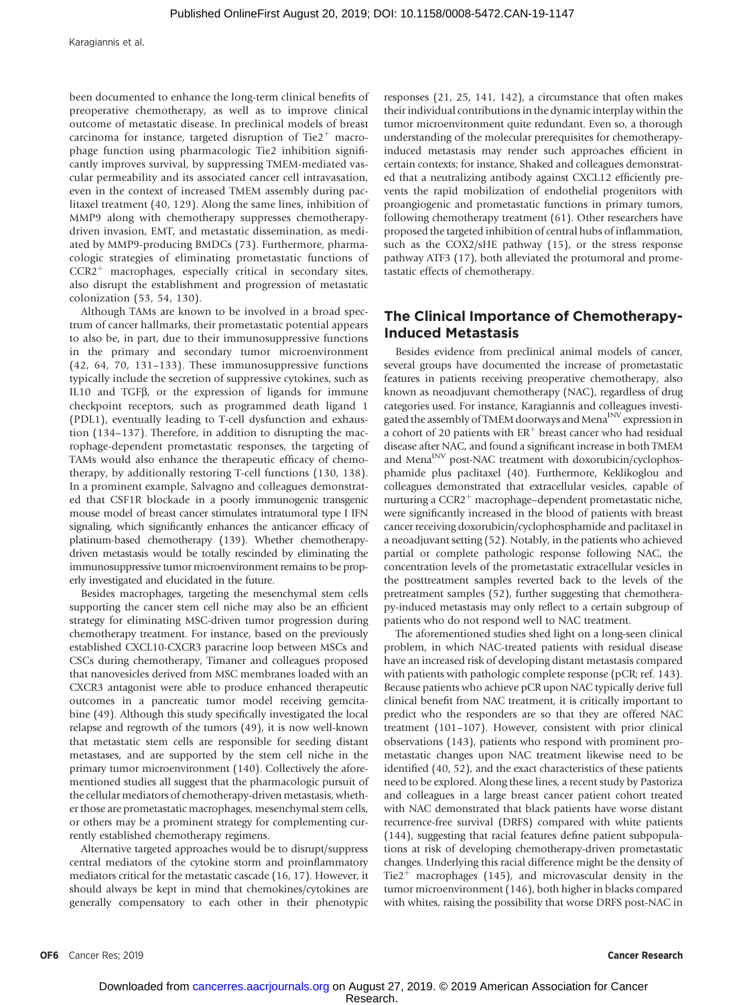been documented to enhance the long-term clinical benefits of preoperative chemotherapy, as well as to improve clinical outcome of metastatic disease. In preclinical models of breast carcinoma for instance, targeted disruption of Tie $2^+$  macrophage function using pharmacologic Tie2 inhibition significantly improves survival, by suppressing TMEM-mediated vascular permeability and its associated cancer cell intravasation, even in the context of increased TMEM assembly during paclitaxel treatment (40, 129). Along the same lines, inhibition of MMP9 along with chemotherapy suppresses chemotherapydriven invasion, EMT, and metastatic dissemination, as mediated by MMP9-producing BMDCs (73). Furthermore, pharmacologic strategies of eliminating prometastatic functions of  $CCR2<sup>+</sup>$  macrophages, especially critical in secondary sites, also disrupt the establishment and progression of metastatic colonization (53, 54, 130).

Although TAMs are known to be involved in a broad spectrum of cancer hallmarks, their prometastatic potential appears to also be, in part, due to their immunosuppressive functions in the primary and secondary tumor microenvironment (42, 64, 70, 131–133). These immunosuppressive functions typically include the secretion of suppressive cytokines, such as IL10 and TGFb, or the expression of ligands for immune checkpoint receptors, such as programmed death ligand 1 (PDL1), eventually leading to T-cell dysfunction and exhaustion (134–137). Therefore, in addition to disrupting the macrophage-dependent prometastatic responses, the targeting of TAMs would also enhance the therapeutic efficacy of chemotherapy, by additionally restoring T-cell functions (130, 138). In a prominent example, Salvagno and colleagues demonstrated that CSF1R blockade in a poorly immunogenic transgenic mouse model of breast cancer stimulates intratumoral type I IFN signaling, which significantly enhances the anticancer efficacy of platinum-based chemotherapy (139). Whether chemotherapydriven metastasis would be totally rescinded by eliminating the immunosuppressive tumor microenvironment remains to be properly investigated and elucidated in the future.

Besides macrophages, targeting the mesenchymal stem cells supporting the cancer stem cell niche may also be an efficient strategy for eliminating MSC-driven tumor progression during chemotherapy treatment. For instance, based on the previously established CXCL10-CXCR3 paracrine loop between MSCs and CSCs during chemotherapy, Timaner and colleagues proposed that nanovesicles derived from MSC membranes loaded with an CXCR3 antagonist were able to produce enhanced therapeutic outcomes in a pancreatic tumor model receiving gemcitabine (49). Although this study specifically investigated the local relapse and regrowth of the tumors (49), it is now well-known that metastatic stem cells are responsible for seeding distant metastases, and are supported by the stem cell niche in the primary tumor microenvironment (140). Collectively the aforementioned studies all suggest that the pharmacologic pursuit of the cellular mediators of chemotherapy-driven metastasis, whether those are prometastatic macrophages, mesenchymal stem cells, or others may be a prominent strategy for complementing currently established chemotherapy regimens.

Alternative targeted approaches would be to disrupt/suppress central mediators of the cytokine storm and proinflammatory mediators critical for the metastatic cascade (16, 17). However, it should always be kept in mind that chemokines/cytokines are generally compensatory to each other in their phenotypic responses (21, 25, 141, 142), a circumstance that often makes their individual contributions in the dynamic interplay within the tumor microenvironment quite redundant. Even so, a thorough understanding of the molecular prerequisites for chemotherapyinduced metastasis may render such approaches efficient in certain contexts; for instance, Shaked and colleagues demonstrated that a neutralizing antibody against CXCL12 efficiently prevents the rapid mobilization of endothelial progenitors with proangiogenic and prometastatic functions in primary tumors, following chemotherapy treatment (61). Other researchers have proposed the targeted inhibition of central hubs of inflammation, such as the COX2/sHE pathway (15), or the stress response pathway ATF3 (17), both alleviated the protumoral and prometastatic effects of chemotherapy.

# The Clinical Importance of Chemotherapy-Induced Metastasis

Besides evidence from preclinical animal models of cancer, several groups have documented the increase of prometastatic features in patients receiving preoperative chemotherapy, also known as neoadjuvant chemotherapy (NAC), regardless of drug categories used. For instance, Karagiannis and colleagues investigated the assembly of TMEM doorways and Mena<sup>INV</sup> expression in a cohort of 20 patients with  $ER<sup>+</sup>$  breast cancer who had residual disease after NAC, and found a significant increase in both TMEM and Mena<sup>INV</sup> post-NAC treatment with doxorubicin/cyclophosphamide plus paclitaxel (40). Furthermore, Keklikoglou and colleagues demonstrated that extracellular vesicles, capable of nurturing a  $CCR2<sup>+</sup>$  macrophage–dependent prometastatic niche, were significantly increased in the blood of patients with breast cancer receiving doxorubicin/cyclophosphamide and paclitaxel in a neoadjuvant setting (52). Notably, in the patients who achieved partial or complete pathologic response following NAC, the concentration levels of the prometastatic extracellular vesicles in the posttreatment samples reverted back to the levels of the pretreatment samples (52), further suggesting that chemotherapy-induced metastasis may only reflect to a certain subgroup of patients who do not respond well to NAC treatment.

The aforementioned studies shed light on a long-seen clinical problem, in which NAC-treated patients with residual disease have an increased risk of developing distant metastasis compared with patients with pathologic complete response (pCR; ref. 143). Because patients who achieve pCR upon NAC typically derive full clinical benefit from NAC treatment, it is critically important to predict who the responders are so that they are offered NAC treatment (101–107). However, consistent with prior clinical observations (143), patients who respond with prominent prometastatic changes upon NAC treatment likewise need to be identified (40, 52), and the exact characteristics of these patients need to be explored. Along these lines, a recent study by Pastoriza and colleagues in a large breast cancer patient cohort treated with NAC demonstrated that black patients have worse distant recurrence-free survival (DRFS) compared with white patients (144), suggesting that racial features define patient subpopulations at risk of developing chemotherapy-driven prometastatic changes. Underlying this racial difference might be the density of Tie2<sup>+</sup> macrophages (145), and microvascular density in the tumor microenvironment (146), both higher in blacks compared with whites, raising the possibility that worse DRFS post-NAC in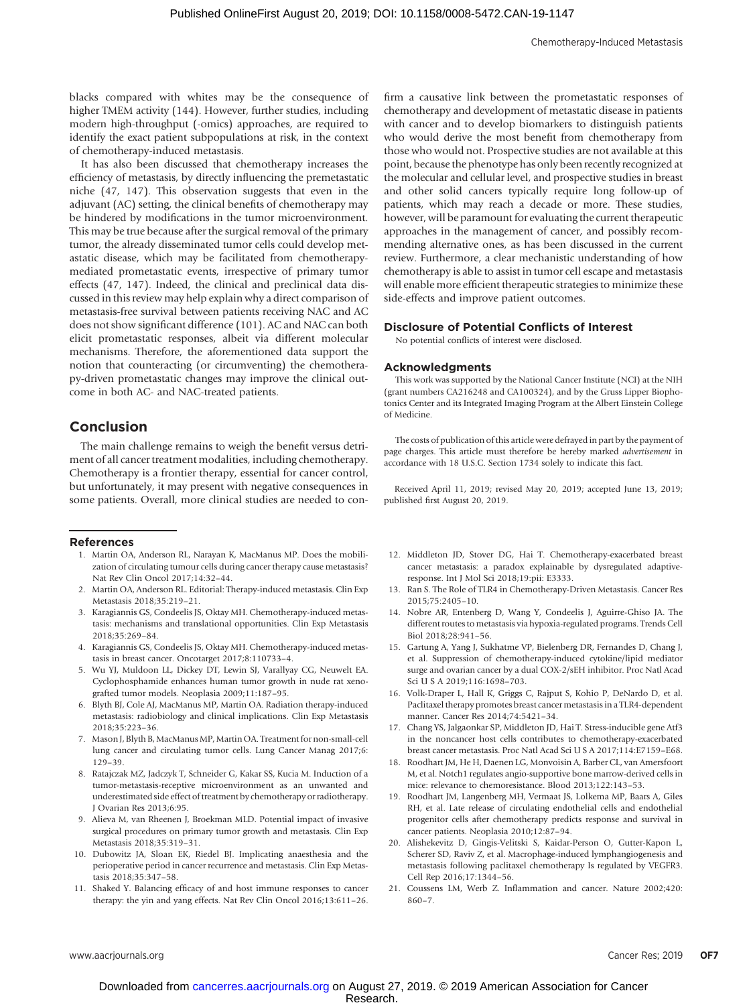blacks compared with whites may be the consequence of higher TMEM activity (144). However, further studies, including modern high-throughput (-omics) approaches, are required to identify the exact patient subpopulations at risk, in the context of chemotherapy-induced metastasis.

It has also been discussed that chemotherapy increases the efficiency of metastasis, by directly influencing the premetastatic niche (47, 147). This observation suggests that even in the adjuvant (AC) setting, the clinical benefits of chemotherapy may be hindered by modifications in the tumor microenvironment. This may be true because after the surgical removal of the primary tumor, the already disseminated tumor cells could develop metastatic disease, which may be facilitated from chemotherapymediated prometastatic events, irrespective of primary tumor effects (47, 147). Indeed, the clinical and preclinical data discussed in this review may help explain why a direct comparison of metastasis-free survival between patients receiving NAC and AC does not show significant difference (101). AC and NAC can both elicit prometastatic responses, albeit via different molecular mechanisms. Therefore, the aforementioned data support the notion that counteracting (or circumventing) the chemotherapy-driven prometastatic changes may improve the clinical outcome in both AC- and NAC-treated patients.

# Conclusion

The main challenge remains to weigh the benefit versus detriment of all cancer treatment modalities, including chemotherapy. Chemotherapy is a frontier therapy, essential for cancer control, but unfortunately, it may present with negative consequences in some patients. Overall, more clinical studies are needed to con-

#### References

- 1. Martin OA, Anderson RL, Narayan K, MacManus MP. Does the mobilization of circulating tumour cells during cancer therapy cause metastasis? Nat Rev Clin Oncol 2017;14:32–44.
- 2. Martin OA, Anderson RL. Editorial: Therapy-induced metastasis. Clin Exp Metastasis 2018;35:219–21.
- 3. Karagiannis GS, Condeelis JS, Oktay MH. Chemotherapy-induced metastasis: mechanisms and translational opportunities. Clin Exp Metastasis 2018;35:269–84.
- 4. Karagiannis GS, Condeelis JS, Oktay MH. Chemotherapy-induced metastasis in breast cancer. Oncotarget 2017;8:110733–4.
- 5. Wu YJ, Muldoon LL, Dickey DT, Lewin SJ, Varallyay CG, Neuwelt EA. Cyclophosphamide enhances human tumor growth in nude rat xenografted tumor models. Neoplasia 2009;11:187–95.
- 6. Blyth BJ, Cole AJ, MacManus MP, Martin OA. Radiation therapy-induced metastasis: radiobiology and clinical implications. Clin Exp Metastasis 2018;35:223–36.
- 7. Mason J, Blyth B, MacManus MP, Martin OA. Treatment for non-small-cell lung cancer and circulating tumor cells. Lung Cancer Manag 2017;6: 129–39.
- 8. Ratajczak MZ, Jadczyk T, Schneider G, Kakar SS, Kucia M. Induction of a tumor-metastasis-receptive microenvironment as an unwanted and underestimated side effect of treatment by chemotherapy or radiotherapy. J Ovarian Res 2013;6:95.
- 9. Alieva M, van Rheenen J, Broekman MLD. Potential impact of invasive surgical procedures on primary tumor growth and metastasis. Clin Exp Metastasis 2018;35:319–31.
- 10. Dubowitz JA, Sloan EK, Riedel BJ. Implicating anaesthesia and the perioperative period in cancer recurrence and metastasis. Clin Exp Metastasis 2018;35:347–58.
- 11. Shaked Y. Balancing efficacy of and host immune responses to cancer therapy: the yin and yang effects. Nat Rev Clin Oncol 2016;13:611–26.

firm a causative link between the prometastatic responses of chemotherapy and development of metastatic disease in patients with cancer and to develop biomarkers to distinguish patients who would derive the most benefit from chemotherapy from those who would not. Prospective studies are not available at this point, because the phenotype has only been recently recognized at the molecular and cellular level, and prospective studies in breast and other solid cancers typically require long follow-up of patients, which may reach a decade or more. These studies, however, will be paramount for evaluating the current therapeutic approaches in the management of cancer, and possibly recommending alternative ones, as has been discussed in the current review. Furthermore, a clear mechanistic understanding of how chemotherapy is able to assist in tumor cell escape and metastasis will enable more efficient therapeutic strategies to minimize these side-effects and improve patient outcomes.

#### Disclosure of Potential Conflicts of Interest

No potential conflicts of interest were disclosed.

#### Acknowledgments

This work was supported by the National Cancer Institute (NCI) at the NIH (grant numbers CA216248 and CA100324), and by the Gruss Lipper Biophotonics Center and its Integrated Imaging Program at the Albert Einstein College of Medicine.

The costs of publication of this article were defrayed in part by the payment of page charges. This article must therefore be hereby marked advertisement in accordance with 18 U.S.C. Section 1734 solely to indicate this fact.

Received April 11, 2019; revised May 20, 2019; accepted June 13, 2019; published first August 20, 2019.

- 12. Middleton JD, Stover DG, Hai T. Chemotherapy-exacerbated breast cancer metastasis: a paradox explainable by dysregulated adaptiveresponse. Int J Mol Sci 2018;19:pii: E3333.
- 13. Ran S. The Role of TLR4 in Chemotherapy-Driven Metastasis. Cancer Res 2015;75:2405–10.
- 14. Nobre AR, Entenberg D, Wang Y, Condeelis J, Aguirre-Ghiso JA. The different routes to metastasis via hypoxia-regulated programs. Trends Cell Biol 2018;28:941–56.
- 15. Gartung A, Yang J, Sukhatme VP, Bielenberg DR, Fernandes D, Chang J, et al. Suppression of chemotherapy-induced cytokine/lipid mediator surge and ovarian cancer by a dual COX-2/sEH inhibitor. Proc Natl Acad Sci U S A 2019;116:1698–703.
- 16. Volk-Draper L, Hall K, Griggs C, Rajput S, Kohio P, DeNardo D, et al. Paclitaxel therapy promotes breast cancer metastasis in a TLR4-dependent manner. Cancer Res 2014;74:5421–34.
- 17. Chang YS, Jalgaonkar SP, Middleton JD, Hai T. Stress-inducible gene Atf3 in the noncancer host cells contributes to chemotherapy-exacerbated breast cancer metastasis. Proc Natl Acad Sci U S A 2017;114:E7159–E68.
- 18. Roodhart JM, He H, Daenen LG, Monvoisin A, Barber CL, van Amersfoort M, et al. Notch1 regulates angio-supportive bone marrow-derived cells in mice: relevance to chemoresistance. Blood 2013;122:143–53.
- 19. Roodhart JM, Langenberg MH, Vermaat JS, Lolkema MP, Baars A, Giles RH, et al. Late release of circulating endothelial cells and endothelial progenitor cells after chemotherapy predicts response and survival in cancer patients. Neoplasia 2010;12:87–94.
- 20. Alishekevitz D, Gingis-Velitski S, Kaidar-Person O, Gutter-Kapon L, Scherer SD, Raviv Z, et al. Macrophage-induced lymphangiogenesis and metastasis following paclitaxel chemotherapy Is regulated by VEGFR3. Cell Rep 2016;17:1344–56.
- 21. Coussens LM, Werb Z. Inflammation and cancer. Nature 2002;420: 860–7.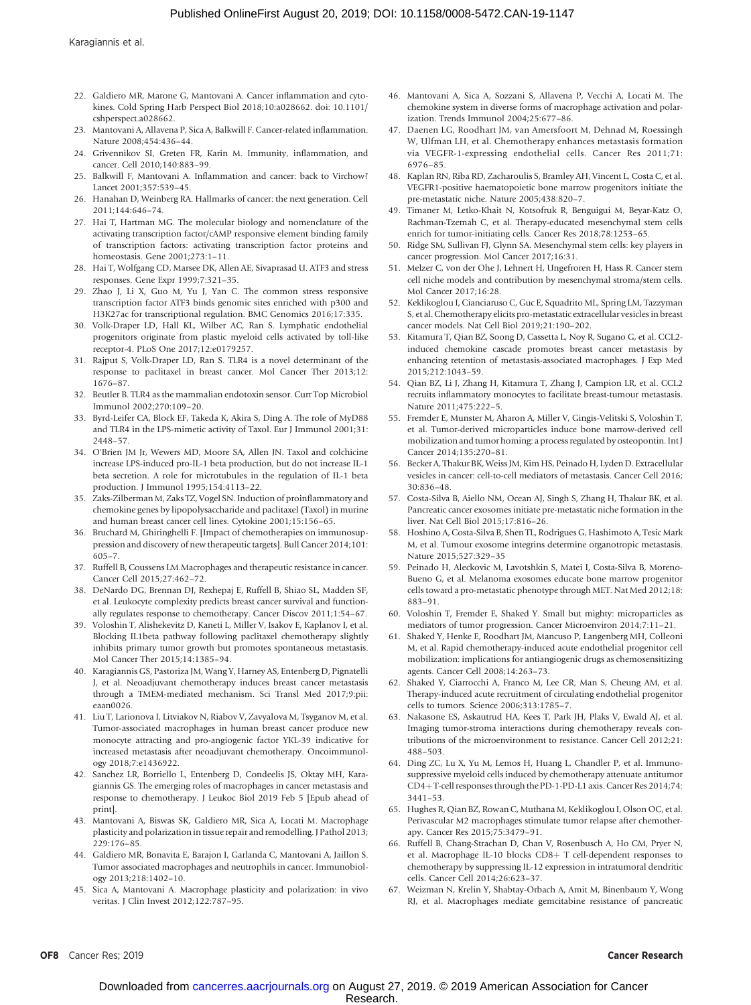- 22. Galdiero MR, Marone G, Mantovani A. Cancer inflammation and cytokines. Cold Spring Harb Perspect Biol 2018;10:a028662. doi: 10.1101/ cshperspect.a028662.
- 23. Mantovani A, Allavena P, Sica A, Balkwill F. Cancer-related inflammation. Nature 2008;454:436–44.
- 24. Grivennikov SI, Greten FR, Karin M. Immunity, inflammation, and cancer. Cell 2010;140:883–99.
- 25. Balkwill F, Mantovani A. Inflammation and cancer: back to Virchow? Lancet 2001;357:539–45.
- 26. Hanahan D, Weinberg RA. Hallmarks of cancer: the next generation. Cell 2011;144:646–74.
- 27. Hai T, Hartman MG. The molecular biology and nomenclature of the activating transcription factor/cAMP responsive element binding family of transcription factors: activating transcription factor proteins and homeostasis. Gene 2001;273:1–11.
- 28. Hai T, Wolfgang CD, Marsee DK, Allen AE, Sivaprasad U. ATF3 and stress responses. Gene Expr 1999;7:321–35.
- 29. Zhao J, Li X, Guo M, Yu J, Yan C. The common stress responsive transcription factor ATF3 binds genomic sites enriched with p300 and H3K27ac for transcriptional regulation. BMC Genomics 2016;17:335.
- 30. Volk-Draper LD, Hall KL, Wilber AC, Ran S. Lymphatic endothelial progenitors originate from plastic myeloid cells activated by toll-like receptor-4. PLoS One 2017;12:e0179257.
- 31. Rajput S, Volk-Draper LD, Ran S. TLR4 is a novel determinant of the response to paclitaxel in breast cancer. Mol Cancer Ther 2013;12: 1676–87.
- 32. Beutler B. TLR4 as the mammalian endotoxin sensor. Curr Top Microbiol Immunol 2002;270:109–20.
- 33. Byrd-Leifer CA, Block EF, Takeda K, Akira S, Ding A. The role of MyD88 and TLR4 in the LPS-mimetic activity of Taxol. Eur J Immunol 2001;31: 2448–57.
- 34. O'Brien JM Jr, Wewers MD, Moore SA, Allen JN. Taxol and colchicine increase LPS-induced pro-IL-1 beta production, but do not increase IL-1 beta secretion. A role for microtubules in the regulation of IL-1 beta production. J Immunol 1995;154:4113–22.
- 35. Zaks-Zilberman M, Zaks TZ, Vogel SN. Induction of proinflammatory and chemokine genes by lipopolysaccharide and paclitaxel (Taxol) in murine and human breast cancer cell lines. Cytokine 2001;15:156–65.
- 36. Bruchard M, Ghiringhelli F. [Impact of chemotherapies on immunosuppression and discovery of new therapeutic targets]. Bull Cancer 2014;101: 605–7.
- 37. Ruffell B, Coussens LM.Macrophages and therapeutic resistance in cancer. Cancer Cell 2015;27:462–72.
- 38. DeNardo DG, Brennan DJ, Rexhepaj E, Ruffell B, Shiao SL, Madden SF, et al. Leukocyte complexity predicts breast cancer survival and functionally regulates response to chemotherapy. Cancer Discov 2011;1:54–67.
- 39. Voloshin T, Alishekevitz D, Kaneti L, Miller V, Isakov E, Kaplanov I, et al. Blocking IL1beta pathway following paclitaxel chemotherapy slightly inhibits primary tumor growth but promotes spontaneous metastasis. Mol Cancer Ther 2015;14:1385–94.
- 40. Karagiannis GS, Pastoriza JM, Wang Y, Harney AS, Entenberg D, Pignatelli J, et al. Neoadjuvant chemotherapy induces breast cancer metastasis through a TMEM-mediated mechanism. Sci Transl Med 2017;9:pii: eaan0026.
- 41. Liu T, Larionova I, Litviakov N, Riabov V, Zavyalova M, Tsyganov M, et al. Tumor-associated macrophages in human breast cancer produce new monocyte attracting and pro-angiogenic factor YKL-39 indicative for increased metastasis after neoadjuvant chemotherapy. Oncoimmunology 2018;7:e1436922.
- 42. Sanchez LR, Borriello L, Entenberg D, Condeelis JS, Oktay MH, Karagiannis GS. The emerging roles of macrophages in cancer metastasis and response to chemotherapy. J Leukoc Biol 2019 Feb 5 [Epub ahead of print].
- 43. Mantovani A, Biswas SK, Galdiero MR, Sica A, Locati M. Macrophage plasticity and polarization in tissue repair and remodelling. J Pathol 2013; 229:176–85.
- 44. Galdiero MR, Bonavita E, Barajon I, Garlanda C, Mantovani A, Jaillon S. Tumor associated macrophages and neutrophils in cancer. Immunobiology 2013;218:1402–10.
- 45. Sica A, Mantovani A. Macrophage plasticity and polarization: in vivo veritas. J Clin Invest 2012;122:787–95.
- 46. Mantovani A, Sica A, Sozzani S, Allavena P, Vecchi A, Locati M. The chemokine system in diverse forms of macrophage activation and polarization. Trends Immunol 2004;25:677–86.
- 47. Daenen LG, Roodhart JM, van Amersfoort M, Dehnad M, Roessingh W, Ulfman LH, et al. Chemotherapy enhances metastasis formation via VEGFR-1-expressing endothelial cells. Cancer Res 2011;71: 6976–85.
- 48. Kaplan RN, Riba RD, Zacharoulis S, Bramley AH, Vincent L, Costa C, et al. VEGFR1-positive haematopoietic bone marrow progenitors initiate the pre-metastatic niche. Nature 2005;438:820–7.
- 49. Timaner M, Letko-Khait N, Kotsofruk R, Benguigui M, Beyar-Katz O, Rachman-Tzemah C, et al. Therapy-educated mesenchymal stem cells enrich for tumor-initiating cells. Cancer Res 2018;78:1253–65.
- 50. Ridge SM, Sullivan FJ, Glynn SA. Mesenchymal stem cells: key players in cancer progression. Mol Cancer 2017;16:31.
- 51. Melzer C, von der Ohe J, Lehnert H, Ungefroren H, Hass R. Cancer stem cell niche models and contribution by mesenchymal stroma/stem cells. Mol Cancer 2017;16:28.
- 52. Keklikoglou I, Cianciaruso C, Guc E, Squadrito ML, Spring LM, Tazzyman S, et al. Chemotherapy elicits pro-metastatic extracellular vesicles in breast cancer models. Nat Cell Biol 2019;21:190–202.
- 53. Kitamura T, Qian BZ, Soong D, Cassetta L, Noy R, Sugano G, et al. CCL2 induced chemokine cascade promotes breast cancer metastasis by enhancing retention of metastasis-associated macrophages. J Exp Med 2015;212:1043–59.
- 54. Qian BZ, Li J, Zhang H, Kitamura T, Zhang J, Campion LR, et al. CCL2 recruits inflammatory monocytes to facilitate breast-tumour metastasis. Nature 2011;475:222–5.
- 55. Fremder E, Munster M, Aharon A, Miller V, Gingis-Velitski S, Voloshin T, et al. Tumor-derived microparticles induce bone marrow-derived cell mobilization and tumor homing: a process regulated by osteopontin. Int J Cancer 2014;135:270–81.
- 56. Becker A, Thakur BK, Weiss JM, Kim HS, Peinado H, Lyden D. Extracellular vesicles in cancer: cell-to-cell mediators of metastasis. Cancer Cell 2016; 30:836–48.
- 57. Costa-Silva B, Aiello NM, Ocean AJ, Singh S, Zhang H, Thakur BK, et al. Pancreatic cancer exosomes initiate pre-metastatic niche formation in the liver. Nat Cell Biol 2015;17:816–26.
- 58. Hoshino A, Costa-Silva B, Shen TL, Rodrigues G, Hashimoto A, Tesic Mark M, et al. Tumour exosome integrins determine organotropic metastasis. Nature 2015;527:329–35
- 59. Peinado H, Aleckovic M, Lavotshkin S, Matei I, Costa-Silva B, Moreno-Bueno G, et al. Melanoma exosomes educate bone marrow progenitor cells toward a pro-metastatic phenotype through MET. Nat Med 2012;18: 883–91.
- 60. Voloshin T, Fremder E, Shaked Y. Small but mighty: microparticles as mediators of tumor progression. Cancer Microenviron 2014;7:11–21.
- 61. Shaked Y, Henke E, Roodhart JM, Mancuso P, Langenberg MH, Colleoni M, et al. Rapid chemotherapy-induced acute endothelial progenitor cell mobilization: implications for antiangiogenic drugs as chemosensitizing agents. Cancer Cell 2008;14:263–73.
- 62. Shaked Y, Ciarrocchi A, Franco M, Lee CR, Man S, Cheung AM, et al. Therapy-induced acute recruitment of circulating endothelial progenitor cells to tumors. Science 2006;313:1785–7.
- 63. Nakasone ES, Askautrud HA, Kees T, Park JH, Plaks V, Ewald AJ, et al. Imaging tumor-stroma interactions during chemotherapy reveals contributions of the microenvironment to resistance. Cancer Cell 2012;21: 488–503.
- 64. Ding ZC, Lu X, Yu M, Lemos H, Huang L, Chandler P, et al. Immunosuppressive myeloid cells induced by chemotherapy attenuate antitumor CD4+T-cell responses through the PD-1-PD-L1 axis. Cancer Res 2014;74: 3441–53.
- 65. Hughes R, Qian BZ, Rowan C, Muthana M, Keklikoglou I, Olson OC, et al. Perivascular M2 macrophages stimulate tumor relapse after chemotherapy. Cancer Res 2015;75:3479–91.
- 66. Ruffell B, Chang-Strachan D, Chan V, Rosenbusch A, Ho CM, Pryer N, et al. Macrophage IL-10 blocks CD8+ T cell-dependent responses to chemotherapy by suppressing IL-12 expression in intratumoral dendritic cells. Cancer Cell 2014;26:623–37.
- 67. Weizman N, Krelin Y, Shabtay-Orbach A, Amit M, Binenbaum Y, Wong RJ, et al. Macrophages mediate gemcitabine resistance of pancreatic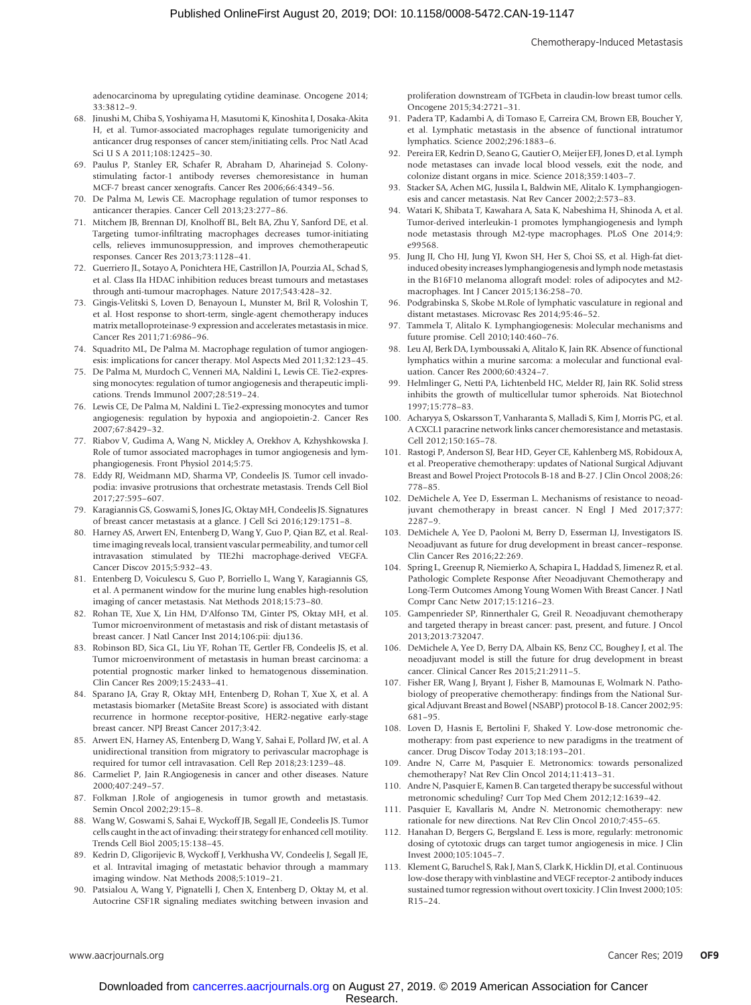adenocarcinoma by upregulating cytidine deaminase. Oncogene 2014; 33:3812–9.

- 68. Jinushi M, Chiba S, Yoshiyama H, Masutomi K, Kinoshita I, Dosaka-Akita H, et al. Tumor-associated macrophages regulate tumorigenicity and anticancer drug responses of cancer stem/initiating cells. Proc Natl Acad Sci U S A 2011;108:12425–30.
- 69. Paulus P, Stanley ER, Schafer R, Abraham D, Aharinejad S. Colonystimulating factor-1 antibody reverses chemoresistance in human MCF-7 breast cancer xenografts. Cancer Res 2006;66:4349–56.
- 70. De Palma M, Lewis CE. Macrophage regulation of tumor responses to anticancer therapies. Cancer Cell 2013;23:277–86.
- 71. Mitchem JB, Brennan DJ, Knolhoff BL, Belt BA, Zhu Y, Sanford DE, et al. Targeting tumor-infiltrating macrophages decreases tumor-initiating cells, relieves immunosuppression, and improves chemotherapeutic responses. Cancer Res 2013;73:1128–41.
- 72. Guerriero JL, Sotayo A, Ponichtera HE, Castrillon JA, Pourzia AL, Schad S, et al. Class IIa HDAC inhibition reduces breast tumours and metastases through anti-tumour macrophages. Nature 2017;543:428–32.
- 73. Gingis-Velitski S, Loven D, Benayoun L, Munster M, Bril R, Voloshin T, et al. Host response to short-term, single-agent chemotherapy induces matrix metalloproteinase-9 expression and accelerates metastasis in mice. Cancer Res 2011;71:6986–96.
- 74. Squadrito ML, De Palma M. Macrophage regulation of tumor angiogenesis: implications for cancer therapy. Mol Aspects Med 2011;32:123–45.
- 75. De Palma M, Murdoch C, Venneri MA, Naldini L, Lewis CE. Tie2-expressing monocytes: regulation of tumor angiogenesis and therapeutic implications. Trends Immunol 2007;28:519–24.
- 76. Lewis CE, De Palma M, Naldini L. Tie2-expressing monocytes and tumor angiogenesis: regulation by hypoxia and angiopoietin-2. Cancer Res 2007;67:8429–32.
- 77. Riabov V, Gudima A, Wang N, Mickley A, Orekhov A, Kzhyshkowska J. Role of tumor associated macrophages in tumor angiogenesis and lymphangiogenesis. Front Physiol 2014;5:75.
- 78. Eddy RJ, Weidmann MD, Sharma VP, Condeelis JS. Tumor cell invadopodia: invasive protrusions that orchestrate metastasis. Trends Cell Biol 2017;27:595–607.
- 79. Karagiannis GS, Goswami S, Jones JG, Oktay MH, Condeelis JS. Signatures of breast cancer metastasis at a glance. J Cell Sci 2016;129:1751–8.
- 80. Harney AS, Arwert EN, Entenberg D, Wang Y, Guo P, Qian BZ, et al. Realtime imaging reveals local, transient vascular permeability, and tumor cell intravasation stimulated by TIE2hi macrophage-derived VEGFA. Cancer Discov 2015;5:932–43.
- 81. Entenberg D, Voiculescu S, Guo P, Borriello L, Wang Y, Karagiannis GS, et al. A permanent window for the murine lung enables high-resolution imaging of cancer metastasis. Nat Methods 2018;15:73–80.
- 82. Rohan TE, Xue X, Lin HM, D'Alfonso TM, Ginter PS, Oktay MH, et al. Tumor microenvironment of metastasis and risk of distant metastasis of breast cancer. J Natl Cancer Inst 2014;106:pii: dju136.
- 83. Robinson BD, Sica GL, Liu YF, Rohan TE, Gertler FB, Condeelis JS, et al. Tumor microenvironment of metastasis in human breast carcinoma: a potential prognostic marker linked to hematogenous dissemination. Clin Cancer Res 2009;15:2433–41.
- 84. Sparano JA, Gray R, Oktay MH, Entenberg D, Rohan T, Xue X, et al. A metastasis biomarker (MetaSite Breast Score) is associated with distant recurrence in hormone receptor-positive, HER2-negative early-stage breast cancer. NPJ Breast Cancer 2017;3:42.
- 85. Arwert EN, Harney AS, Entenberg D, Wang Y, Sahai E, Pollard JW, et al. A unidirectional transition from migratory to perivascular macrophage is required for tumor cell intravasation. Cell Rep 2018;23:1239–48.
- 86. Carmeliet P, Jain R.Angiogenesis in cancer and other diseases. Nature 2000;407:249–57.
- 87. Folkman J.Role of angiogenesis in tumor growth and metastasis. Semin Oncol 2002;29:15–8.
- 88. Wang W, Goswami S, Sahai E, Wyckoff JB, Segall JE, Condeelis JS. Tumor cells caught in the act of invading: their strategy for enhanced cell motility. Trends Cell Biol 2005;15:138–45.
- 89. Kedrin D, Gligorijevic B, Wyckoff J, Verkhusha VV, Condeelis J, Segall JE, et al. Intravital imaging of metastatic behavior through a mammary imaging window. Nat Methods 2008;5:1019–21.
- 90. Patsialou A, Wang Y, Pignatelli J, Chen X, Entenberg D, Oktay M, et al. Autocrine CSF1R signaling mediates switching between invasion and

proliferation downstream of TGFbeta in claudin-low breast tumor cells. Oncogene 2015;34:2721–31.

- 91. Padera TP, Kadambi A, di Tomaso E, Carreira CM, Brown EB, Boucher Y, et al. Lymphatic metastasis in the absence of functional intratumor lymphatics. Science 2002;296:1883–6.
- 92. Pereira ER, Kedrin D, Seano G, Gautier O, Meijer EFJ, Jones D, et al. Lymph node metastases can invade local blood vessels, exit the node, and colonize distant organs in mice. Science 2018;359:1403–7.
- 93. Stacker SA, Achen MG, Jussila L, Baldwin ME, Alitalo K. Lymphangiogenesis and cancer metastasis. Nat Rev Cancer 2002;2:573–83.
- 94. Watari K, Shibata T, Kawahara A, Sata K, Nabeshima H, Shinoda A, et al. Tumor-derived interleukin-1 promotes lymphangiogenesis and lymph node metastasis through M2-type macrophages. PLoS One 2014;9: e99568.
- 95. Jung JI, Cho HJ, Jung YJ, Kwon SH, Her S, Choi SS, et al. High-fat dietinduced obesity increases lymphangiogenesis and lymph node metastasis in the B16F10 melanoma allograft model: roles of adipocytes and M2 macrophages. Int J Cancer 2015;136:258–70.
- 96. Podgrabinska S, Skobe M.Role of lymphatic vasculature in regional and distant metastases. Microvasc Res 2014;95:46–52.
- 97. Tammela T, Alitalo K. Lymphangiogenesis: Molecular mechanisms and future promise. Cell 2010;140:460–76.
- 98. Leu AJ, Berk DA, Lymboussaki A, Alitalo K, Jain RK. Absence of functional lymphatics within a murine sarcoma: a molecular and functional evaluation. Cancer Res 2000;60:4324–7.
- 99. Helmlinger G, Netti PA, Lichtenbeld HC, Melder RJ, Jain RK. Solid stress inhibits the growth of multicellular tumor spheroids. Nat Biotechnol 1997;15:778–83.
- 100. Acharyya S, Oskarsson T, Vanharanta S, Malladi S, Kim J, Morris PG, et al. A CXCL1 paracrine network links cancer chemoresistance and metastasis. Cell 2012;150:165–78.
- 101. Rastogi P, Anderson SJ, Bear HD, Geyer CE, Kahlenberg MS, Robidoux A, et al. Preoperative chemotherapy: updates of National Surgical Adjuvant Breast and Bowel Project Protocols B-18 and B-27. J Clin Oncol 2008;26: 778–85.
- 102. DeMichele A, Yee D, Esserman L. Mechanisms of resistance to neoadjuvant chemotherapy in breast cancer. N Engl J Med 2017;377: 2287–9.
- 103. DeMichele A, Yee D, Paoloni M, Berry D, Esserman LJ, Investigators IS. Neoadjuvant as future for drug development in breast cancer–response. Clin Cancer Res 2016;22:269.
- 104. Spring L, Greenup R, Niemierko A, Schapira L, Haddad S, Jimenez R, et al. Pathologic Complete Response After Neoadjuvant Chemotherapy and Long-Term Outcomes Among Young Women With Breast Cancer. J Natl Compr Canc Netw 2017;15:1216–23.
- 105. Gampenrieder SP, Rinnerthaler G, Greil R. Neoadjuvant chemotherapy and targeted therapy in breast cancer: past, present, and future. J Oncol 2013;2013:732047.
- 106. DeMichele A, Yee D, Berry DA, Albain KS, Benz CC, Boughey J, et al. The neoadjuvant model is still the future for drug development in breast cancer. Clinical Cancer Res 2015;21:2911–5.
- 107. Fisher ER, Wang J, Bryant J, Fisher B, Mamounas E, Wolmark N. Pathobiology of preoperative chemotherapy: findings from the National Surgical Adjuvant Breast and Bowel (NSABP) protocol B-18. Cancer 2002;95: 681–95.
- 108. Loven D, Hasnis E, Bertolini F, Shaked Y. Low-dose metronomic chemotherapy: from past experience to new paradigms in the treatment of cancer. Drug Discov Today 2013;18:193–201.
- 109. Andre N, Carre M, Pasquier E. Metronomics: towards personalized chemotherapy? Nat Rev Clin Oncol 2014;11:413–31.
- 110. Andre N, Pasquier E, Kamen B. Can targeted therapy be successful without metronomic scheduling? Curr Top Med Chem 2012;12:1639–42.
- 111. Pasquier E, Kavallaris M, Andre N. Metronomic chemotherapy: new rationale for new directions. Nat Rev Clin Oncol 2010;7:455–65.
- 112. Hanahan D, Bergers G, Bergsland E. Less is more, regularly: metronomic dosing of cytotoxic drugs can target tumor angiogenesis in mice. J Clin Invest 2000;105:1045–7.
- 113. Klement G, Baruchel S, Rak J, Man S, Clark K, Hicklin DJ, et al. Continuous low-dose therapy with vinblastine and VEGF receptor-2 antibody induces sustained tumor regression without overt toxicity. J Clin Invest 2000;105: R15–24.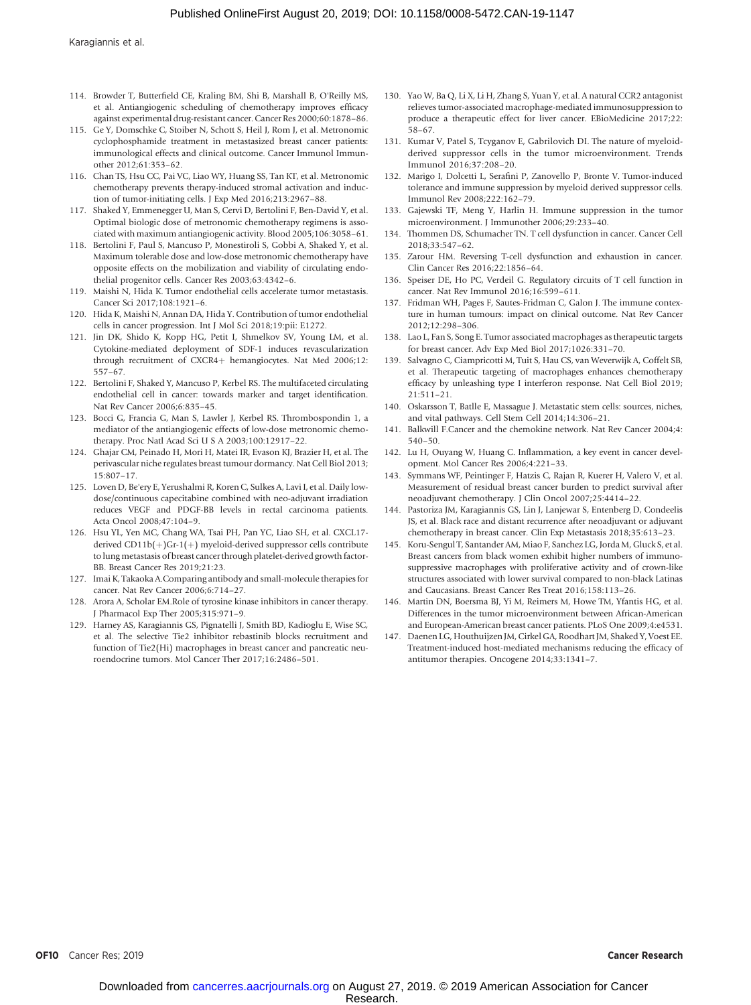- 114. Browder T, Butterfield CE, Kraling BM, Shi B, Marshall B, O'Reilly MS, et al. Antiangiogenic scheduling of chemotherapy improves efficacy against experimental drug-resistant cancer. Cancer Res 2000;60:1878–86.
- 115. Ge Y, Domschke C, Stoiber N, Schott S, Heil J, Rom J, et al. Metronomic cyclophosphamide treatment in metastasized breast cancer patients: immunological effects and clinical outcome. Cancer Immunol Immunother 2012;61:353–62.
- 116. Chan TS, Hsu CC, Pai VC, Liao WY, Huang SS, Tan KT, et al. Metronomic chemotherapy prevents therapy-induced stromal activation and induction of tumor-initiating cells. J Exp Med 2016;213:2967–88.
- 117. Shaked Y, Emmenegger U, Man S, Cervi D, Bertolini F, Ben-David Y, et al. Optimal biologic dose of metronomic chemotherapy regimens is associated with maximum antiangiogenic activity. Blood 2005;106:3058–61.
- 118. Bertolini F, Paul S, Mancuso P, Monestiroli S, Gobbi A, Shaked Y, et al. Maximum tolerable dose and low-dose metronomic chemotherapy have opposite effects on the mobilization and viability of circulating endothelial progenitor cells. Cancer Res 2003;63:4342–6.
- 119. Maishi N, Hida K. Tumor endothelial cells accelerate tumor metastasis. Cancer Sci 2017;108:1921–6.
- 120. Hida K, Maishi N, Annan DA, Hida Y. Contribution of tumor endothelial cells in cancer progression. Int J Mol Sci 2018;19:pii: E1272.
- 121. Jin DK, Shido K, Kopp HG, Petit I, Shmelkov SV, Young LM, et al. Cytokine-mediated deployment of SDF-1 induces revascularization through recruitment of CXCR4+ hemangiocytes. Nat Med 2006;12: 557–67.
- 122. Bertolini F, Shaked Y, Mancuso P, Kerbel RS. The multifaceted circulating endothelial cell in cancer: towards marker and target identification. Nat Rev Cancer 2006;6:835–45.
- 123. Bocci G, Francia G, Man S, Lawler J, Kerbel RS. Thrombospondin 1, a mediator of the antiangiogenic effects of low-dose metronomic chemotherapy. Proc Natl Acad Sci U S A 2003;100:12917–22.
- 124. Ghajar CM, Peinado H, Mori H, Matei IR, Evason KJ, Brazier H, et al. The perivascular niche regulates breast tumour dormancy. Nat Cell Biol 2013; 15:807–17.
- 125. Loven D, Be'ery E, Yerushalmi R, Koren C, Sulkes A, Lavi I, et al. Daily lowdose/continuous capecitabine combined with neo-adjuvant irradiation reduces VEGF and PDGF-BB levels in rectal carcinoma patients. Acta Oncol 2008;47:104–9.
- 126. Hsu YL, Yen MC, Chang WA, Tsai PH, Pan YC, Liao SH, et al. CXCL17 derived  $CD11b(+)$ Gr-1(+) myeloid-derived suppressor cells contribute to lung metastasis of breast cancer through platelet-derived growth factor-BB. Breast Cancer Res 2019;21:23.
- 127. Imai K, Takaoka A.Comparing antibody and small-molecule therapies for cancer. Nat Rev Cancer 2006;6:714–27.
- 128. Arora A, Scholar EM.Role of tyrosine kinase inhibitors in cancer therapy. J Pharmacol Exp Ther 2005;315:971–9.
- 129. Harney AS, Karagiannis GS, Pignatelli J, Smith BD, Kadioglu E, Wise SC, et al. The selective Tie2 inhibitor rebastinib blocks recruitment and function of Tie2(Hi) macrophages in breast cancer and pancreatic neuroendocrine tumors. Mol Cancer Ther 2017;16:2486–501.
- 130. Yao W, Ba Q, Li X, Li H, Zhang S, Yuan Y, et al. A natural CCR2 antagonist relieves tumor-associated macrophage-mediated immunosuppression to produce a therapeutic effect for liver cancer. EBioMedicine 2017;22: 58–67.
- 131. Kumar V, Patel S, Tcyganov E, Gabrilovich DI. The nature of myeloidderived suppressor cells in the tumor microenvironment. Trends Immunol 2016;37:208–20.
- 132. Marigo I, Dolcetti L, Serafini P, Zanovello P, Bronte V. Tumor-induced tolerance and immune suppression by myeloid derived suppressor cells. Immunol Rev 2008;222:162–79.
- 133. Gajewski TF, Meng Y, Harlin H. Immune suppression in the tumor microenvironment. J Immunother 2006;29:233–40.
- Thommen DS, Schumacher TN. T cell dysfunction in cancer. Cancer Cell 2018;33:547–62.
- 135. Zarour HM. Reversing T-cell dysfunction and exhaustion in cancer. Clin Cancer Res 2016;22:1856–64.
- 136. Speiser DE, Ho PC, Verdeil G. Regulatory circuits of T cell function in cancer. Nat Rev Immunol 2016;16:599–611.
- 137. Fridman WH, Pages F, Sautes-Fridman C, Galon J. The immune contexture in human tumours: impact on clinical outcome. Nat Rev Cancer 2012;12:298–306.
- 138. Lao L, Fan S, Song E. Tumor associated macrophages as therapeutic targets for breast cancer. Adv Exp Med Biol 2017;1026:331–70.
- 139. Salvagno C, Ciampricotti M, Tuit S, Hau CS, van Weverwijk A, Coffelt SB, et al. Therapeutic targeting of macrophages enhances chemotherapy efficacy by unleashing type I interferon response. Nat Cell Biol 2019; 21:511–21.
- 140. Oskarsson T, Batlle E, Massague J. Metastatic stem cells: sources, niches, and vital pathways. Cell Stem Cell 2014;14:306–21.
- 141. Balkwill F.Cancer and the chemokine network. Nat Rev Cancer 2004;4: 540–50.
- 142. Lu H, Ouyang W, Huang C. Inflammation, a key event in cancer development. Mol Cancer Res 2006;4:221–33.
- 143. Symmans WF, Peintinger F, Hatzis C, Rajan R, Kuerer H, Valero V, et al. Measurement of residual breast cancer burden to predict survival after neoadjuvant chemotherapy. J Clin Oncol 2007;25:4414–22.
- 144. Pastoriza JM, Karagiannis GS, Lin J, Lanjewar S, Entenberg D, Condeelis JS, et al. Black race and distant recurrence after neoadjuvant or adjuvant chemotherapy in breast cancer. Clin Exp Metastasis 2018;35:613–23.
- 145. Koru-Sengul T, Santander AM, Miao F, Sanchez LG, Jorda M, Gluck S, et al. Breast cancers from black women exhibit higher numbers of immunosuppressive macrophages with proliferative activity and of crown-like structures associated with lower survival compared to non-black Latinas and Caucasians. Breast Cancer Res Treat 2016;158:113–26.
- 146. Martin DN, Boersma BJ, Yi M, Reimers M, Howe TM, Yfantis HG, et al. Differences in the tumor microenvironment between African-American and European-American breast cancer patients. PLoS One 2009;4:e4531.
- 147. Daenen LG, Houthuijzen JM, Cirkel GA, Roodhart JM, Shaked Y, Voest EE. Treatment-induced host-mediated mechanisms reducing the efficacy of antitumor therapies. Oncogene 2014;33:1341–7.